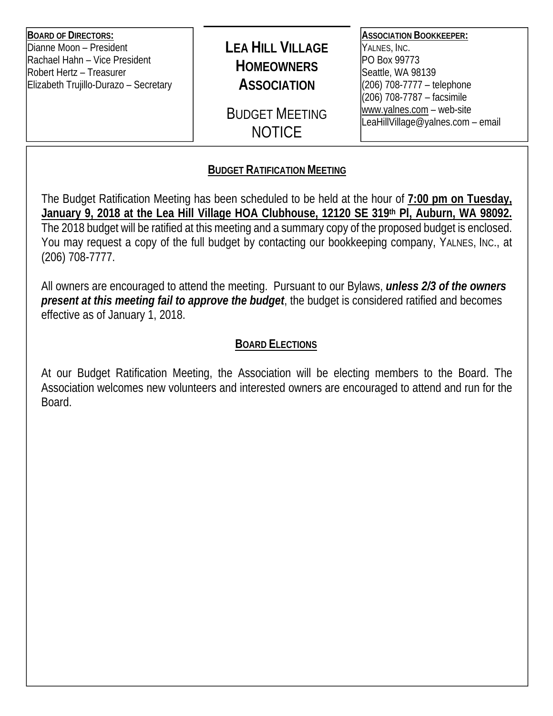**BOARD OF DIRECTORS:**  Dianne Moon – President Rachael Hahn – Vice President Robert Hertz – Treasurer Elizabeth Trujillo-Durazo – Secretary

# **LEA HILL VILLAGE HOMEOWNERS ASSOCIATION**

BUDGET MEETING **NOTICE** 

### **ASSOCIATION BOOKKEEPER:**

YALNES, INC. PO Box 99773 Seattle, WA 98139 (206) 708-7777 – telephone (206) 708-7787 – facsimile www.yalnes.com – web-site LeaHillVillage@yalnes.com – email

## **BUDGET RATIFICATION MEETING**

The Budget Ratification Meeting has been scheduled to be held at the hour of **7:00 pm on Tuesday, January 9, 2018 at the Lea Hill Village HOA Clubhouse, 12120 SE 319th Pl, Auburn, WA 98092.** The 2018 budget will be ratified at this meeting and a summary copy of the proposed budget is enclosed. You may request a copy of the full budget by contacting our bookkeeping company, YALNES, INC., at (206) 708-7777.

All owners are encouraged to attend the meeting. Pursuant to our Bylaws, *unless 2/3 of the owners present at this meeting fail to approve the budget*, the budget is considered ratified and becomes effective as of January 1, 2018.

## **BOARD ELECTIONS**

At our Budget Ratification Meeting, the Association will be electing members to the Board. The Association welcomes new volunteers and interested owners are encouraged to attend and run for the Board.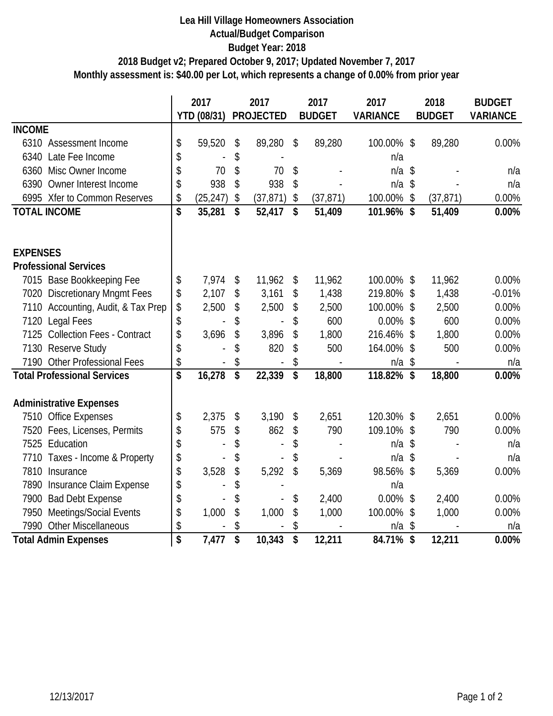#### **Lea Hill Village Homeowners Association Actual/Budget Comparison Budget Year: 2018 Monthly assessment is: \$40.00 per Lot, which represents a change of 0.00% from prior year 2018 Budget v2; Prepared October 9, 2017; Updated November 7, 2017**

|                                        |                                      | 2017        | 2017                 | 2017            | 2017            | 2018            | <b>BUDGET</b>   |
|----------------------------------------|--------------------------------------|-------------|----------------------|-----------------|-----------------|-----------------|-----------------|
|                                        |                                      | YTD (08/31) | <b>PROJECTED</b>     | <b>BUDGET</b>   | <b>VARIANCE</b> | <b>BUDGET</b>   | <b>VARIANCE</b> |
| <b>INCOME</b>                          |                                      |             |                      |                 |                 |                 |                 |
| 6310 Assessment Income                 | \$                                   | 59,520      | \$<br>89,280         | \$<br>89,280    | 100.00% \$      | 89,280          | 0.00%           |
| 6340 Late Fee Income                   | \$                                   |             | \$                   |                 | n/a             |                 |                 |
| Misc Owner Income<br>6360              | \$                                   | 70          | \$<br>70             | \$              | n/a             | \$              | n/a             |
| Owner Interest Income<br>6390          | \$                                   | 938         | \$<br>938            | \$              | $n/a$ \$        |                 | n/a             |
| 6995 Xfer to Common Reserves           | \$                                   | (25, 247)   | \$<br>(37, 871)      | \$<br>(37, 871) | 100.00%         | \$<br>(37, 871) | 0.00%           |
| <b>TOTAL INCOME</b>                    | \$                                   | 35,281      | \$<br>52,417         | \$<br>51,409    | 101.96%         | \$<br>51,409    | 0.00%           |
|                                        |                                      |             |                      |                 |                 |                 |                 |
|                                        |                                      |             |                      |                 |                 |                 |                 |
| <b>EXPENSES</b>                        |                                      |             |                      |                 |                 |                 |                 |
| <b>Professional Services</b>           |                                      |             |                      |                 |                 |                 |                 |
| 7015 Base Bookkeeping Fee              | \$                                   | 7,974       | \$<br>11,962         | \$<br>11,962    | 100.00%         | \$<br>11,962    | 0.00%           |
| 7020 Discretionary Mngmt Fees          | \$                                   | 2,107       | \$<br>3,161          | \$<br>1,438     | 219.80%         | \$<br>1,438     | $-0.01%$        |
| 7110 Accounting, Audit, & Tax Prep     | \$                                   | 2,500       | \$<br>2,500          | \$<br>2,500     | 100.00%         | \$<br>2,500     | 0.00%           |
| 7120 Legal Fees                        | \$                                   |             | \$                   | \$<br>600       | $0.00\%$        | \$<br>600       | 0.00%           |
| 7125 Collection Fees - Contract        | \$                                   | 3,696       | \$<br>3,896          | \$<br>1,800     | 216.46%         | \$<br>1,800     | 0.00%           |
| <b>Reserve Study</b><br>7130           | \$                                   |             | \$<br>820            | \$<br>500       | 164.00%         | \$<br>500       | 0.00%           |
| <b>Other Professional Fees</b><br>7190 | \$                                   |             | \$<br>$\overline{a}$ | \$              | n/a             | \$              | n/a             |
| <b>Total Professional Services</b>     | \$                                   | 16,278      | \$<br>22,339         | \$<br>18,800    | 118.82% \$      | 18,800          | 0.00%           |
|                                        |                                      |             |                      |                 |                 |                 |                 |
| <b>Administrative Expenses</b>         |                                      |             |                      |                 |                 |                 |                 |
| 7510 Office Expenses                   | \$                                   | 2,375       | \$<br>3,190          | \$<br>2,651     | 120.30%         | \$<br>2,651     | 0.00%           |
| 7520 Fees, Licenses, Permits           | \$                                   | 575         | \$<br>862            | \$<br>790       | 109.10%         | \$<br>790       | 0.00%           |
| 7525 Education                         | \$                                   |             | \$                   | \$              | n/a             | \$              | n/a             |
| 7710 Taxes - Income & Property         | \$                                   |             | \$                   | \$              | n/a             | \$              | n/a             |
| 7810 Insurance                         | \$                                   | 3,528       | \$<br>5,292          | \$<br>5,369     | 98.56%          | \$<br>5,369     | 0.00%           |
| 7890 Insurance Claim Expense           | \$                                   |             | \$                   |                 | n/a             |                 |                 |
| <b>Bad Debt Expense</b><br>7900        | \$                                   |             | \$                   | \$<br>2,400     | 0.00%           | \$<br>2,400     | 0.00%           |
| Meetings/Social Events<br>7950         | \$                                   | 1,000       | \$<br>1,000          | \$<br>1,000     | 100.00%         | \$<br>1,000     | 0.00%           |
| 7990<br>Other Miscellaneous            | \$                                   |             | \$                   | \$              | n/a             | \$              | n/a             |
| <b>Total Admin Expenses</b>            | $\overline{\boldsymbol{\mathsf{S}}}$ | 7,477       | \$<br>10,343         | \$<br>12,211    | 84.71%          | \$<br>12,211    | 0.00%           |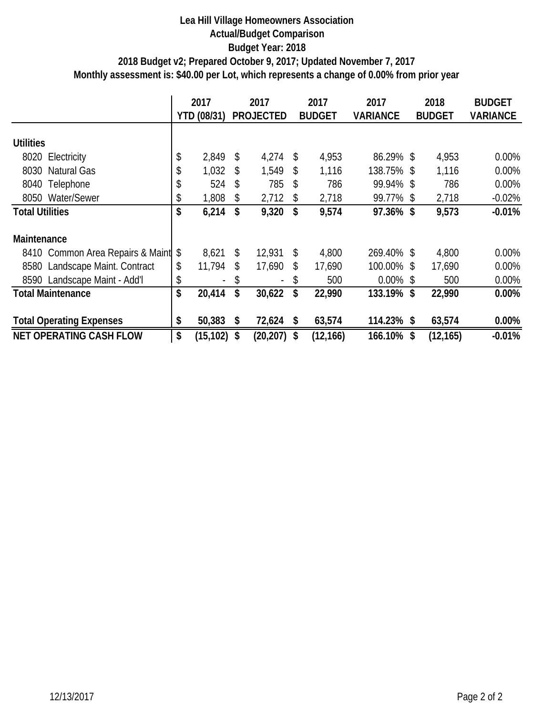#### **Lea Hill Village Homeowners Association Actual/Budget Comparison Budget Year: 2018 Monthly assessment is: \$40.00 per Lot, which represents a change of 0.00% from prior year 2018 Budget v2; Prepared October 9, 2017; Updated November 7, 2017**

|                                     | 2017 |                          | 2017 |                  | 2017 |               | 2017            | 2018 |               | <b>BUDGET</b>   |
|-------------------------------------|------|--------------------------|------|------------------|------|---------------|-----------------|------|---------------|-----------------|
|                                     |      | YTD (08/31)              |      | <b>PROJECTED</b> |      | <b>BUDGET</b> | <b>VARIANCE</b> |      | <b>BUDGET</b> | <b>VARIANCE</b> |
| <b>Utilities</b>                    |      |                          |      |                  |      |               |                 |      |               |                 |
| 8020 Electricity                    | \$   | 2,849                    | \$   | 4,274            | \$   | 4,953         | 86.29% \$       |      | 4,953         | $0.00\%$        |
| 8030<br><b>Natural Gas</b>          | \$   | 1,032                    | \$   | 1,549            | \$   | 1,116         | 138.75%\$       |      | 1,116         | 0.00%           |
| 8040<br>Telephone                   | \$   | 524                      | \$   | 785              | \$   | 786           | 99.94% \$       |      | 786           | 0.00%           |
| Water/Sewer<br>8050                 | \$   | 1,808                    | \$   | 2,712            | \$   | 2,718         | 99.77% \$       |      | 2,718         | $-0.02%$        |
| <b>Total Utilities</b>              | \$   | 6,214                    | \$   | 9,320            | \$   | 9,574         | 97.36% \$       |      | 9,573         | $-0.01\%$       |
| Maintenance                         |      |                          |      |                  |      |               |                 |      |               |                 |
| 8410 Common Area Repairs & Maint \$ |      | 8,621                    | \$   | 12,931           | \$   | 4,800         | 269.40% \$      |      | 4,800         | $0.00\%$        |
| Landscape Maint. Contract<br>8580   | \$   | 11,794                   | \$   | 17,690           | \$   | 17,690        | 100.00% \$      |      | 17,690        | 0.00%           |
| Landscape Maint - Add'l<br>8590     | \$   | $\overline{\phantom{0}}$ | \$   |                  | \$   | 500           | $0.00\%$ \$     |      | 500           | 0.00%           |
| <b>Total Maintenance</b>            | \$   | 20,414                   | \$   | 30,622           | \$   | 22,990        | 133.19% \$      |      | 22,990        | 0.00%           |
| <b>Total Operating Expenses</b>     | \$   | 50,383                   | \$   | 72,624           | \$   | 63,574        | 114.23% \$      |      | 63,574        | $0.00\%$        |
| <b>NET OPERATING CASH FLOW</b>      | \$   | (15, 102)                | \$   | (20, 207)        | \$   | (12, 166)     | 166.10%         | \$   | (12, 165)     | $-0.01%$        |